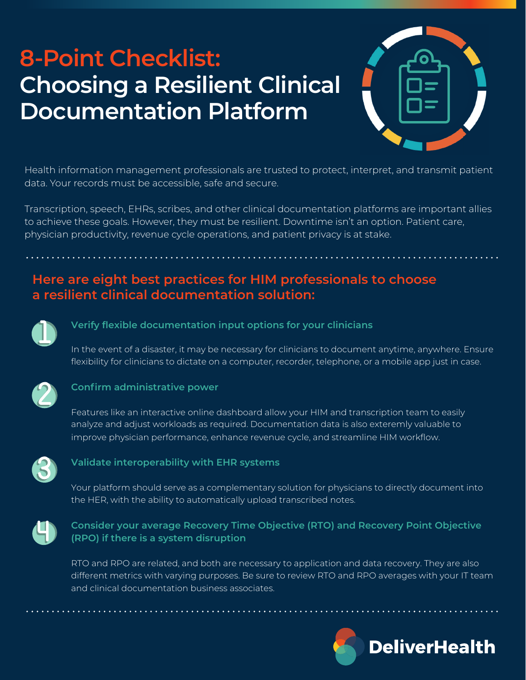# **8-Point Checklist: Choosing a Resilient Clinical Documentation Platform**



Health information management professionals are trusted to protect, interpret, and transmit patient data. Your records must be accessible, safe and secure.

Transcription, speech, EHRs, scribes, and other clinical documentation platforms are important allies to achieve these goals. However, they must be resilient. Downtime isn't an option. Patient care, physician productivity, revenue cycle operations, and patient privacy is at stake.

# **Here are eight best practices for HIM professionals to choose a resilient clinical documentation solution:**



# **Verify flexible documentation input options for your clinicians**

In the event of a disaster, it may be necessary for clinicians to document anytime, anywhere. Ensure flexibility for clinicians to dictate on a computer, recorder, telephone, or a mobile app just in case.



## **Confirm administrative power**

Features like an interactive online dashboard allow your HIM and transcription team to easily analyze and adjust workloads as required. Documentation data is also exteremly valuable to improve physician performance, enhance revenue cycle, and streamline HIM workflow.



# **Validate interoperability with EHR systems**

Your platform should serve as a complementary solution for physicians to directly document into the HER, with the ability to automatically upload transcribed notes.



# **Consider your average Recovery Time Objective (RTO) and Recovery Point Objective (RPO) if there is a system disruption**

RTO and RPO are related, and both are necessary to application and data recovery. They are also different metrics with varying purposes. Be sure to review RTO and RPO averages with your IT team and clinical documentation business associates.